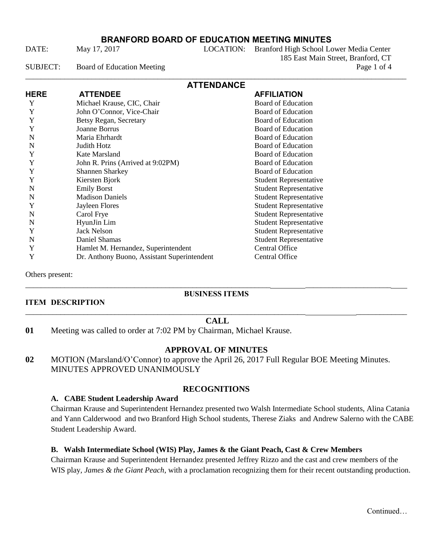# **BRANFORD BOARD OF EDUCATION MEETING MINUTES**

DATE: May 17, 2017 LOCATION: Branford High School Lower Media Center 185 East Main Street, Branford, CT SUBJECT: Board of Education Meeting Page 1 of 4

| <b>ATTENDANCE</b> |                                             |                               |  |
|-------------------|---------------------------------------------|-------------------------------|--|
| <b>HERE</b>       | <b>ATTENDEE</b>                             | <b>AFFILIATION</b>            |  |
| Y                 | Michael Krause, CIC, Chair                  | <b>Board of Education</b>     |  |
| Y                 | John O'Connor, Vice-Chair                   | <b>Board of Education</b>     |  |
| Y                 | Betsy Regan, Secretary                      | <b>Board of Education</b>     |  |
| Y                 | Joanne Borrus                               | <b>Board of Education</b>     |  |
| N                 | Maria Ehrhardt                              | <b>Board of Education</b>     |  |
| N                 | Judith Hotz                                 | <b>Board of Education</b>     |  |
| Y                 | Kate Marsland                               | <b>Board of Education</b>     |  |
| Y                 | John R. Prins (Arrived at 9:02PM)           | <b>Board of Education</b>     |  |
| Y                 | <b>Shannen Sharkey</b>                      | <b>Board of Education</b>     |  |
| Y                 | Kiersten Bjork                              | <b>Student Representative</b> |  |
| N                 | <b>Emily Borst</b>                          | <b>Student Representative</b> |  |
| N                 | <b>Madison Daniels</b>                      | <b>Student Representative</b> |  |
| Y                 | Jayleen Flores                              | <b>Student Representative</b> |  |
| N                 | Carol Frye                                  | <b>Student Representative</b> |  |
| N                 | HyunJin Lim                                 | <b>Student Representative</b> |  |
| Y                 | <b>Jack Nelson</b>                          | <b>Student Representative</b> |  |
| N                 | Daniel Shamas                               | <b>Student Representative</b> |  |
| Y                 | Hamlet M. Hernandez, Superintendent         | Central Office                |  |
| Y                 | Dr. Anthony Buono, Assistant Superintendent | Central Office                |  |

Others present:

## **BUSINESS ITEMS**

\_\_\_\_\_\_\_\_\_\_\_\_\_\_\_\_\_\_\_\_\_\_\_\_\_\_\_\_\_\_\_\_\_\_\_\_\_\_\_\_\_\_\_\_\_\_\_\_\_\_\_\_\_\_\_\_\_\_\_\_\_\_\_ \_\_\_\_\_\_\_\_\_\_\_\_\_\_\_\_\_\_\_\_\_\_

### **ITEM DESCRIPTION** \_\_\_\_\_\_\_\_\_\_\_\_\_\_\_\_\_\_\_\_\_\_\_\_\_\_\_\_\_\_\_\_\_\_\_\_\_\_\_\_\_\_\_\_\_\_\_\_\_\_\_\_\_\_\_\_\_\_\_\_\_\_\_\_\_\_\_\_\_\_\_\_ \_\_\_\_\_\_\_\_\_\_\_\_\_

### **CALL**

**01** Meeting was called to order at 7:02 PM by Chairman, Michael Krause.

### **APPROVAL OF MINUTES**

**02** MOTION (Marsland/O'Connor) to approve the April 26, 2017 Full Regular BOE Meeting Minutes. MINUTES APPROVED UNANIMOUSLY

## **RECOGNITIONS**

### **A. CABE Student Leadership Award**

Chairman Krause and Superintendent Hernandez presented two Walsh Intermediate School students, Alina Catania and Yann Calderwood and two Branford High School students, Therese Ziaks and Andrew Salerno with the CABE Student Leadership Award.

### **B. Walsh Intermediate School (WIS) Play, James & the Giant Peach, Cast & Crew Members**

Chairman Krause and Superintendent Hernandez presented Jeffrey Rizzo and the cast and crew members of the WIS play*, James & the Giant Peach*, with a proclamation recognizing them for their recent outstanding production.

Continued…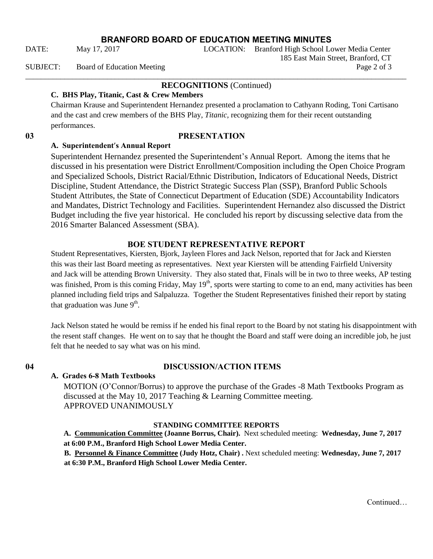**BRANFORD BOARD OF EDUCATION MEETING MINUTES**

185 East Main Street, Branford, CT

## **RECOGNITIONS** (Continued)

## **C. BHS Play, Titanic, Cast & Crew Members**

Chairman Krause and Superintendent Hernandez presented a proclamation to Cathyann Roding, Toni Cartisano and the cast and crew members of the BHS Play, *Titanic,* recognizing them for their recent outstanding performances.

# **03 PRESENTATION**

## **A. Superintendent**'**s Annual Report**

Superintendent Hernandez presented the Superintendent's Annual Report. Among the items that he discussed in his presentation were District Enrollment/Composition including the Open Choice Program and Specialized Schools, District Racial/Ethnic Distribution, Indicators of Educational Needs, District Discipline, Student Attendance, the District Strategic Success Plan (SSP), Branford Public Schools Student Attributes, the State of Connecticut Department of Education (SDE) Accountability Indicators and Mandates, District Technology and Facilities. Superintendent Hernandez also discussed the District Budget including the five year historical. He concluded his report by discussing selective data from the 2016 Smarter Balanced Assessment (SBA).

# **BOE STUDENT REPRESENTATIVE REPORT**

Student Representatives, Kiersten, Bjork, Jayleen Flores and Jack Nelson, reported that for Jack and Kiersten this was their last Board meeting as representatives. Next year Kiersten will be attending Fairfield University and Jack will be attending Brown University. They also stated that, Finals will be in two to three weeks, AP testing was finished, Prom is this coming Friday, May  $19<sup>th</sup>$ , sports were starting to come to an end, many activities has been planned including field trips and Salpaluzza. Together the Student Representatives finished their report by stating that graduation was June  $9<sup>th</sup>$ .

Jack Nelson stated he would be remiss if he ended his final report to the Board by not stating his disappointment with the resent staff changes. He went on to say that he thought the Board and staff were doing an incredible job, he just felt that he needed to say what was on his mind.

# **04 DISCUSSION/ACTION ITEMS**

**A. Grades 6-8 Math Textbooks**

MOTION (O'Connor/Borrus) to approve the purchase of the Grades -8 Math Textbooks Program as discussed at the May 10, 2017 Teaching & Learning Committee meeting. APPROVED UNANIMOUSLY

## **STANDING COMMITTEE REPORTS**

**A. Communication Committee (Joanne Borrus, Chair).** Next scheduled meeting: **Wednesday, June 7, 2017 at 6:00 P.M., Branford High School Lower Media Center.** 

**B. Personnel & Finance Committee (Judy Hotz, Chair) .** Next scheduled meeting: **Wednesday, June 7, 2017 at 6:30 P.M., Branford High School Lower Media Center.** 

DATE: May 17, 2017 LOCATION: Branford High School Lower Media Center

SUBJECT: Board of Education Meeting Page 2 of 3 \_\_\_\_\_\_\_\_\_\_\_\_\_\_\_\_\_\_\_\_\_\_\_\_\_\_\_\_\_\_\_\_\_\_\_\_\_\_\_\_\_\_\_\_\_\_\_\_\_\_\_\_\_\_\_\_\_\_\_\_\_\_\_\_\_\_\_\_\_\_\_\_\_\_\_\_\_\_\_\_\_\_\_\_\_\_\_\_\_\_\_\_\_\_\_\_\_\_